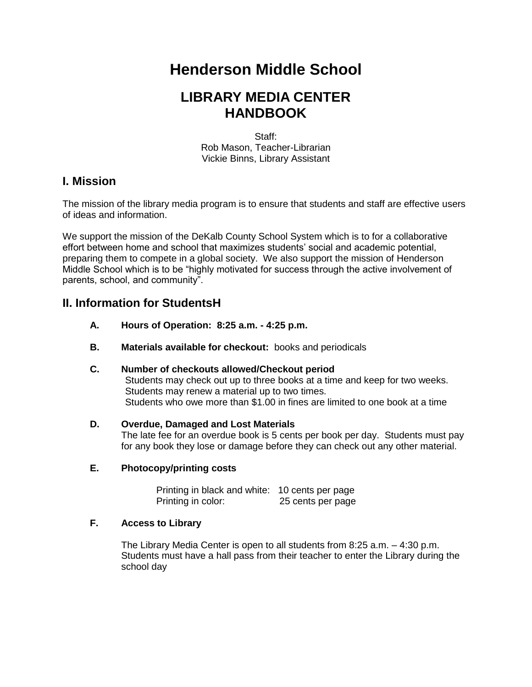# **Henderson Middle School**

## **LIBRARY MEDIA CENTER HANDBOOK**

Staff: Rob Mason, Teacher-Librarian Vickie Binns, Library Assistant

## **I. Mission**

The mission of the library media program is to ensure that students and staff are effective users of ideas and information.

We support the mission of the DeKalb County School System which is to for a collaborative effort between home and school that maximizes students' social and academic potential, preparing them to compete in a global society. We also support the mission of Henderson Middle School which is to be "highly motivated for success through the active involvement of parents, school, and community".

## **II. Information for StudentsH**

- **A. Hours of Operation: 8:25 a.m. - 4:25 p.m.**
- **B. Materials available for checkout:** books and periodicals

#### **C. Number of checkouts allowed/Checkout period**

Students may check out up to three books at a time and keep for two weeks. Students may renew a material up to two times. Students who owe more than \$1.00 in fines are limited to one book at a time

#### **D. Overdue, Damaged and Lost Materials**

The late fee for an overdue book is 5 cents per book per day. Students must pay for any book they lose or damage before they can check out any other material.

#### **E. Photocopy/printing costs**

Printing in black and white: 10 cents per page<br>Printing in color: 25 cents per page 25 cents per page

#### **F. Access to Library**

The Library Media Center is open to all students from 8:25 a.m. – 4:30 p.m. Students must have a hall pass from their teacher to enter the Library during the school day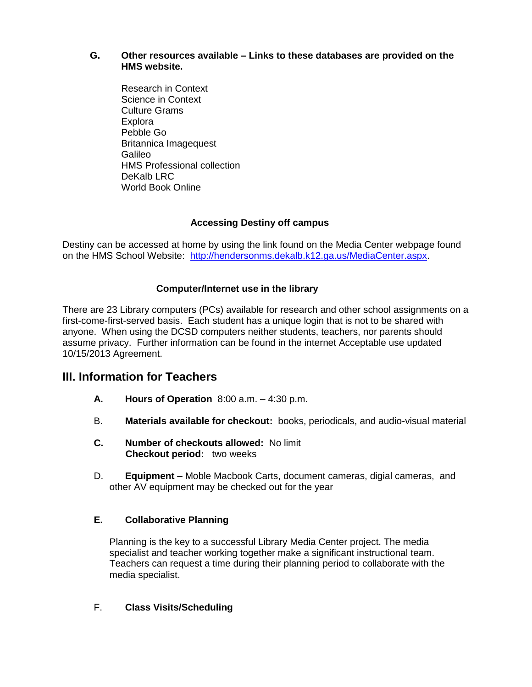#### **G. Other resources available – Links to these databases are provided on the HMS website.**

Research in Context Science in Context Culture Grams Explora Pebble Go Britannica Imagequest Galileo HMS Professional collection DeKalb LRC World Book Online

#### **Accessing Destiny off campus**

Destiny can be accessed at home by using the link found on the Media Center webpage found on the HMS School Website: [http://hendersonms.dekalb.k12.ga.us/MediaCenter.aspx.](http://hendersonms.dekalb.k12.ga.us/MediaCenter.aspx)

#### **Computer/Internet use in the library**

There are 23 Library computers (PCs) available for research and other school assignments on a first-come-first-served basis. Each student has a unique login that is not to be shared with anyone. When using the DCSD computers neither students, teachers, nor parents should assume privacy. Further information can be found in the internet Acceptable use updated 10/15/2013 Agreement.

## **III. Information for Teachers**

- **A. Hours of Operation** 8:00 a.m. 4:30 p.m.
- B. **Materials available for checkout:** books, periodicals, and audio-visual material
- **C. Number of checkouts allowed:** No limit  **Checkout period:** two weeks
- D. **Equipment** Moble Macbook Carts, document cameras, digial cameras, and other AV equipment may be checked out for the year

#### **E. Collaborative Planning**

Planning is the key to a successful Library Media Center project. The media specialist and teacher working together make a significant instructional team. Teachers can request a time during their planning period to collaborate with the media specialist.

#### F. **Class Visits/Scheduling**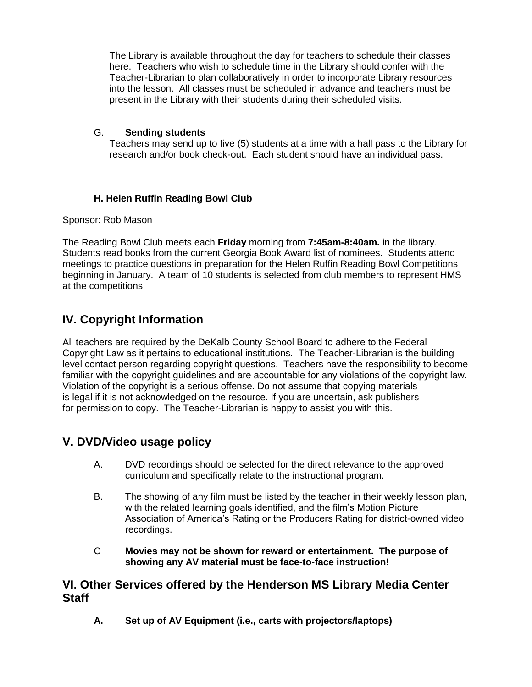The Library is available throughout the day for teachers to schedule their classes here. Teachers who wish to schedule time in the Library should confer with the Teacher-Librarian to plan collaboratively in order to incorporate Library resources into the lesson. All classes must be scheduled in advance and teachers must be present in the Library with their students during their scheduled visits.

#### G. **Sending students**

Teachers may send up to five (5) students at a time with a hall pass to the Library for research and/or book check-out. Each student should have an individual pass.

## **H. Helen Ruffin Reading Bowl Club**

#### Sponsor: Rob Mason

The Reading Bowl Club meets each **Friday** morning from **7:45am-8:40am.** in the library. Students read books from the current Georgia Book Award list of nominees. Students attend meetings to practice questions in preparation for the Helen Ruffin Reading Bowl Competitions beginning in January. A team of 10 students is selected from club members to represent HMS at the competitions

## **IV. Copyright Information**

All teachers are required by the DeKalb County School Board to adhere to the Federal Copyright Law as it pertains to educational institutions. The Teacher-Librarian is the building level contact person regarding copyright questions. Teachers have the responsibility to become familiar with the copyright guidelines and are accountable for any violations of the copyright law. Violation of the copyright is a serious offense. Do not assume that copying materials is legal if it is not acknowledged on the resource. If you are uncertain, ask publishers for permission to copy. The Teacher-Librarian is happy to assist you with this.

## **V. DVD/Video usage policy**

- A. DVD recordings should be selected for the direct relevance to the approved curriculum and specifically relate to the instructional program.
- B. The showing of any film must be listed by the teacher in their weekly lesson plan, with the related learning goals identified, and the film's Motion Picture Association of America's Rating or the Producers Rating for district-owned video recordings.
- C **Movies may not be shown for reward or entertainment. The purpose of showing any AV material must be face-to-face instruction!**

## **VI. Other Services offered by the Henderson MS Library Media Center Staff**

**A. Set up of AV Equipment (i.e., carts with projectors/laptops)**